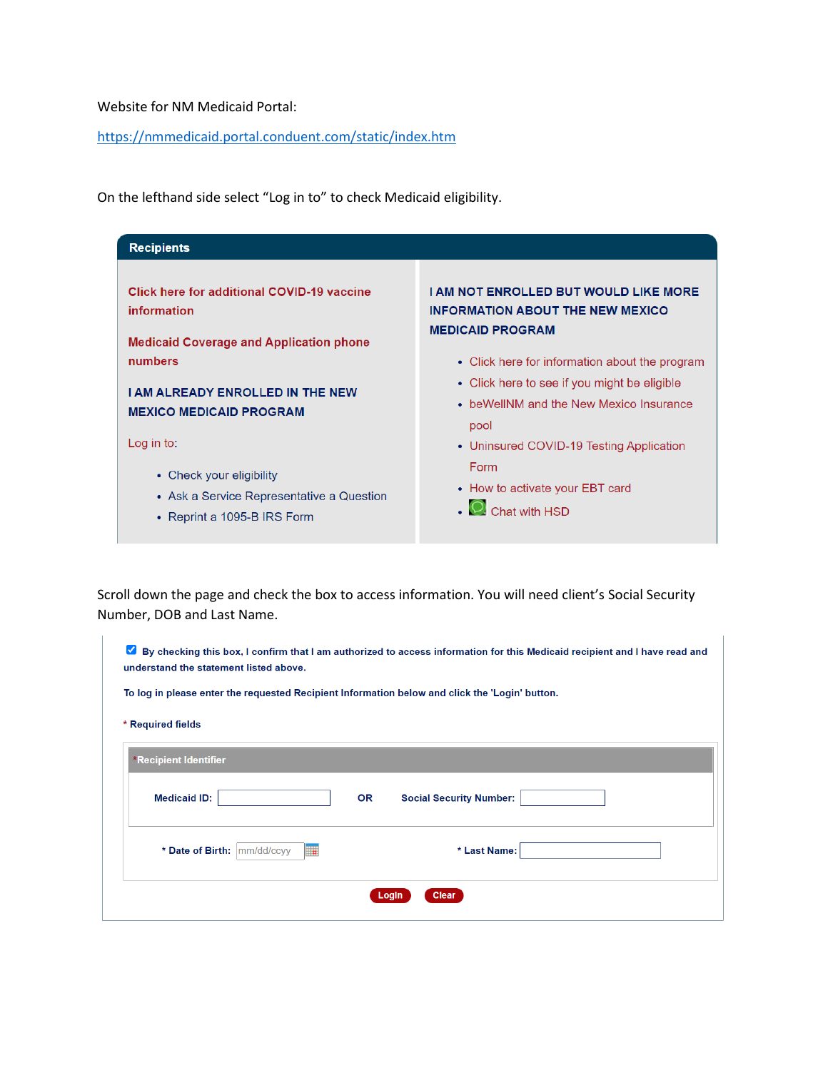Website for NM Medicaid Portal:

<https://nmmedicaid.portal.conduent.com/static/index.htm>

On the lefthand side select "Log in to" to check Medicaid eligibility.



Scroll down the page and check the box to access information. You will need client's Social Security Number, DOB and Last Name.

| By checking this box, I confirm that I am authorized to access information for this Medicaid recipient and I have read and<br>び<br>understand the statement listed above. |                                                                                                |  |  |  |  |  |  |  |  |
|---------------------------------------------------------------------------------------------------------------------------------------------------------------------------|------------------------------------------------------------------------------------------------|--|--|--|--|--|--|--|--|
|                                                                                                                                                                           | To log in please enter the requested Recipient Information below and click the 'Login' button. |  |  |  |  |  |  |  |  |
| * Required fields                                                                                                                                                         |                                                                                                |  |  |  |  |  |  |  |  |
| <b>*Recipient Identifier</b>                                                                                                                                              |                                                                                                |  |  |  |  |  |  |  |  |
| <b>Medicaid ID:</b>                                                                                                                                                       | <b>OR</b><br><b>Social Security Number:</b>                                                    |  |  |  |  |  |  |  |  |
| * Date of Birth: mm/dd/ccyy<br>۳.                                                                                                                                         | * Last Name:                                                                                   |  |  |  |  |  |  |  |  |
|                                                                                                                                                                           | Clear<br>Login                                                                                 |  |  |  |  |  |  |  |  |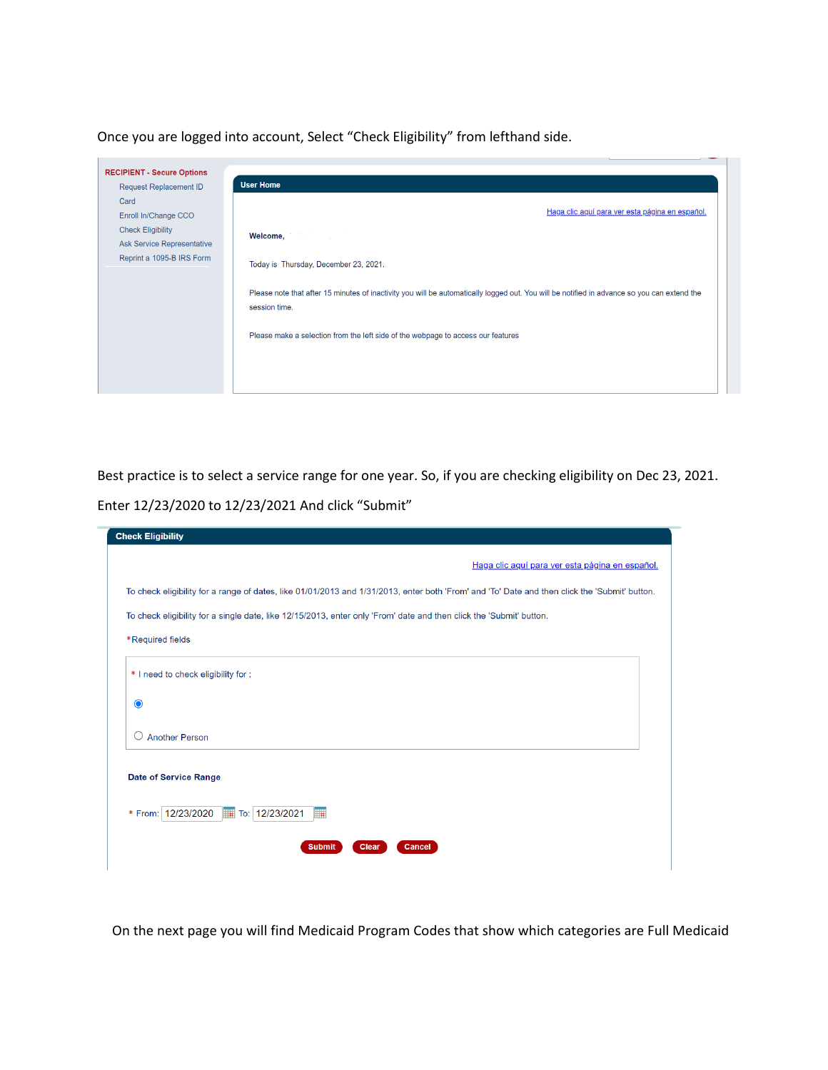Once you are logged into account, Select "Check Eligibility" from lefthand side.



Best practice is to select a service range for one year. So, if you are checking eligibility on Dec 23, 2021. Enter 12/23/2020 to 12/23/2021 And click "Submit"

| <b>Check Eligibility</b>                                                                                                                      |  |  |  |  |  |  |  |  |  |
|-----------------------------------------------------------------------------------------------------------------------------------------------|--|--|--|--|--|--|--|--|--|
| Haga clic aquí para ver esta página en español.                                                                                               |  |  |  |  |  |  |  |  |  |
| To check eligibility for a range of dates, like 01/01/2013 and 1/31/2013, enter both 'From' and 'To' Date and then click the 'Submit' button. |  |  |  |  |  |  |  |  |  |
| To check eligibility for a single date, like 12/15/2013, enter only 'From' date and then click the 'Submit' button.                           |  |  |  |  |  |  |  |  |  |
| *Required fields                                                                                                                              |  |  |  |  |  |  |  |  |  |
| * I need to check eligibility for :                                                                                                           |  |  |  |  |  |  |  |  |  |
| $\bullet$                                                                                                                                     |  |  |  |  |  |  |  |  |  |
| <b>Another Person</b><br>$\left(\right)$                                                                                                      |  |  |  |  |  |  |  |  |  |
| <b>Date of Service Range</b>                                                                                                                  |  |  |  |  |  |  |  |  |  |
| * From: 12/23/2020<br>To: 12/23/2021<br><b>I</b>                                                                                              |  |  |  |  |  |  |  |  |  |
| <b>Clear</b><br><b>Submit</b><br><b>Cancel</b>                                                                                                |  |  |  |  |  |  |  |  |  |

On the next page you will find Medicaid Program Codes that show which categories are Full Medicaid